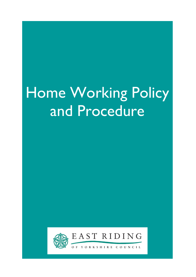# Home Working Policy and Procedure

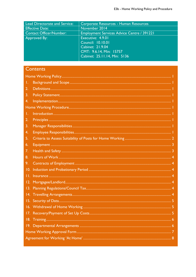| <b>Lead Directorate and Service:</b> | Corporate Resources - Human Resources             |
|--------------------------------------|---------------------------------------------------|
| <b>Effective Date:</b>               | November 2014                                     |
| <b>Contact Officer/Number:</b>       | <b>Employment Services Advice Centre / 391221</b> |
| Approved By:                         | Executive: 4.9.01                                 |
|                                      | Council: $10.10.01$                               |
|                                      | Cabinet: 21.9.04                                  |
|                                      | CMT: 9.6.14, Min: 15757                           |
|                                      | Cabinet: 25.11.14, Min: 5136                      |
|                                      |                                                   |

# Contents

| Τ.  |  |
|-----|--|
| 2.  |  |
| 3.  |  |
| 4.  |  |
|     |  |
| Τ.  |  |
| 2.  |  |
| 3.  |  |
| 4.  |  |
| 5.  |  |
| 6.  |  |
| 7.  |  |
| 8.  |  |
| 9.  |  |
| 10. |  |
|     |  |
|     |  |
|     |  |
| 4.  |  |
|     |  |
|     |  |
|     |  |
| 18. |  |
|     |  |
|     |  |
|     |  |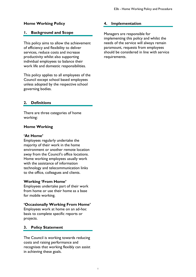## <span id="page-2-0"></span>**Home Working Policy**

## <span id="page-2-1"></span>**1. Background and Scope**

This policy aims to allow the achievement of efficiency and flexibility to deliver services, reduce costs and increase productivity whilst also supporting individual employees to balance their work life and domestic responsibilities.

This policy applies to all employees of the Council except school based employees unless adopted by the respective school governing bodies.

## <span id="page-2-2"></span>**2. Definitions**

There are three categories of home working:

## **Home Working**

#### **'At Home'**

Employees regularly undertake the majority of their work in the home environment or another remote location away from the Council's office locations. Home working employees usually work with the assistance of information technology and telecommunication links to the office, colleagues and clients.

#### **Working 'From Home'**

Employees undertake part of their work from home or use their home as a base for mobile working.

#### **'Occasionally Working From Home'**

Employees work at home on an ad-hoc basis to complete specific reports or projects.

#### <span id="page-2-3"></span>**3. Policy Statement**

The Council is working towards reducing costs and raising performance and recognises that working flexibly can assist in achieving these goals.

## <span id="page-2-4"></span>**4. Implementation**

Managers are responsible for implementing this policy and whilst the needs of the service will always remain paramount, requests from employees should be considered in line with service requirements.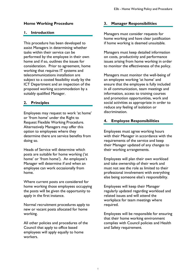## <span id="page-3-0"></span>**Home Working Procedure**

#### <span id="page-3-1"></span>**1. Introduction**

This procedure has been developed to assist Managers in determining whether tasks within their service can be performed by the employee in their own home and if so, outlines the issues for consideration. Prior to agreement, home working that requires IT systems and telecommunications installation are subject to a costed feasibility study by the ICT Department and an inspection of the proposed working accommodation by a suitably qualified Manager.

## <span id="page-3-2"></span>**2. Principles**

Employees may request to work 'at home' or 'from home' under the Right to Request Flexible Working Procedure. Alternatively Managers may offer this option to employees where they determine there are service benefits from doing so.

Heads of Service will determine which posts are suitable for home working ('at home' or 'from home'). An employee's Manager will determine if and when an employee can work occasionally from home.

Where current posts are considered for home working those employees occupying the posts will be given the opportunity to apply in the first instance.

Normal recruitment procedures apply to new or vacant posts allocated for home working.

All other policies and procedures of the Council that apply to office based employees will apply equally to home workers.

## <span id="page-3-3"></span>**3. Manager Responsibilities**

Managers must consider requests for home working and have clear justification if home working is deemed unsuitable.

Managers must keep detailed information on costs, productivity and performance issues arising from home working in order to monitor the effectiveness of the policy.

Managers must monitor the well-being of an employee working 'at home' and ensure that the employee is fully included in all communication, team meetings and information, access to training courses and promotion opportunities, work and social activities as appropriate in order to reduce any feeling of isolation or discrimination.

## <span id="page-3-4"></span>**4. Employee Responsibilities**

Employees must agree working hours with their Manager in accordance with the requirements of the service and keep their Manager updated of any changes to their working arrangements.

Employees will plan their own workload and take ownership of their work and must not see the role as limited to their professional involvement with everything else being someone else's responsibility.

Employees will keep their Manager regularly updated regarding workload and related issues and will attend the workplace for team meetings where required.

Employees will be responsible for ensuring that their home working environment complies with Council policies and Health and Safety requirement.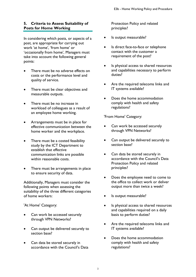## <span id="page-4-0"></span>**5. Criteria to Assess Suitability of Posts for Home Working**

In considering which posts, or aspects of a post, are appropriate for carrying out work 'at home', 'from home' or 'occasionally from home', Managers must take into account the following general points:

- There must be no adverse effects on costs or the performance level and quality of service.
- There must be clear objectives and measurable outputs.
- There must be no increase in workload of colleagues as a result of an employee home working.
- Arrangements must be in place for effective communication between the home worker and the workplace.
- There must be a costed feasibility study by the ICT Department to establish that effective communication links are possible within reasonable costs.
- There must be arrangements in place to ensure security of data.

Additionally, Managers must consider the following points when assessing the suitability of the three different categories of home workers:

'At Home' Category:

- Can work be accessed securely through VPN Networks?
- Can output be delivered securely to section base?
- Can data be stored securely in accordance with the Council's Data

Protection Policy and related principles?

- Is output measurable?
- Is direct face-to-face or telephone contact with the customer a requirement of the post?
- Is physical access to shared resources and capabilities necessary to perform duties?
- Are the required telecoms links and IT systems available?
- Does the home accommodation comply with health and safety regulations?

'From Home' Category:

- Can work be accessed securely through VPN Networks?
- Can output be delivered securely to section base?
- Can data be stored securely in accordance with the Council's Data Protection Policy and related principles?
- Does the employee need to come to the office to collect work or deliver output more than twice a week?
- Is output measurable?
- Is physical access to shared resources and capabilities required on a daily basis to perform duties?
- Are the required telecoms links and IT systems available?
- Does the home accommodation comply with health and safety regulations?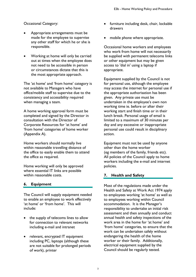Occasional Category:

- Appropriate arrangements must be made for the employee to supervise any other staff for which he or she is responsible.
- Working at home will only be carried out at times when the employee does not need to be accessible in person or circumstances dictate that this is the most appropriate approach.

The 'at home' and 'from home' category is not available to Managers who have office/mobile staff to supervise due to the consistency and accessibility required when managing a team.

A home working approval form must be completed and signed by the Director in consultation with the Director of Corporate Resources for 'at home' and 'from home' categories of home worker (Appendix A).

Home workers should normally live within reasonable travelling distance of the office to easily enable them to attend the office as required.

Home working will only be approved where essential IT links are possible within reasonable costs.

## <span id="page-5-0"></span>**6. Equipment**

The Council will supply equipment needed to enable an employee to work effectively 'at home' or 'from home'. This will include:

- the supply of telecoms lines to allow for connection to relevant networks including e-mail and intranet
- relevant, encrypted IT equipment including PC, laptops (although these are not suitable for prolonged periods of work), printer
- furniture including desk, chair, lockable drawers
- mobile phone where appropriate.

Occasional home workers and employees who work from home will not necessarily be supplied with permanent telecoms links or other equipment but may be given access to 'dial in' using a laptop if appropriate.

Equipment supplied by the Council is not for personal use, although the employee may access the internet for personal use if the appropriate authorisation has been given. Any private use must be undertaken in the employee's own non working time ie. before or after their working start and finish time or in their lunch break. Personal usage of email is limited to a maximum of 30 minutes per day and any excessive or inappropriate personal use could result in disciplinary action.

Equipment must not be used by anyone other than the home worker (eg members of the family, friends etc). All policies of the Council apply to home workers including the e-mail and internet policies.

## <span id="page-5-1"></span>**7. Health and Safety**

Most of the regulations made under the Health and Safety at Work Act 1974 apply to employees working 'at home' as well as to employees working within Council accommodation. It is the Manager's responsibility to undertake an initial risk assessment and then annually and conduct annual health and safety inspections of the work area in the home for 'at home' and 'from home' categories, to ensure that the work can be undertaken safely without endangering the health of the home worker or their family. Additionally, electrical equipment supplied by the Council should be regularly tested.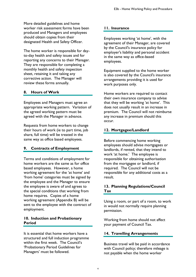More detailed guidelines and home worker risk assessment forms have been produced and Managers and employees should obtain copies from their designated Health and Safety Officer.

The home worker is responsible for dayto-day health and safety issues and for reporting any concerns to their Manager. They are responsible for completing a monthly health and safety inspection sheet, retaining it and taking any corrective action. The Manager will review these forms annually.

## <span id="page-6-0"></span>**8. Hours of Work**

Employees and Managers must agree an appropriate working pattern. Variation of the agreed working pattern must be agreed with the Manager in advance.

Requests from home workers to change their hours of work (ie to part time, job share, full time) will be treated in the same way as office based employees.

## <span id="page-6-1"></span>**9. Contracts of Employment**

Terms and conditions of employment for home workers are the same as for office based employees. However, a home working agreement for the 'at home' and 'from home' categories must be signed by the employee and the Manager to ensure the employee is aware of and agrees to the special conditions that working from home requires. Copies of a home working agreement (Appendix B) will be sent to the employee with the contract of employment.

## <span id="page-6-2"></span>**10. Induction and Probationary Period**

It is essential that home workers have a structured and full induction programme within the first week. The Council's 'Probationary Period Guidelines for Managers' must be followed.

## <span id="page-6-3"></span>**11. Insurance**

Employees working 'at home', with the agreement of their Manager, are covered by the Council's insurance policy for employer's liability and personal accident in the same way as office-based employees.

Equipment supplied to the home worker is also covered by the Council's insurance arrangements providing it is used for work purposes only.

Home workers are required to contact their own insurance company to advise that they will be working 'at home'. This does not usually result in an increase in premium. The Council will not reimburse any increase in premium should this occur.

## <span id="page-6-4"></span>**12. Mortgagee/Landlord**

Before commencing home working employees should advise mortgagees or landlords, if rented, that they intend to work 'at home.' The employee is responsible for obtaining authorisation from the mortgagee or landlord, if required. The Council will not be responsible for any additional costs as a result.

## <span id="page-6-5"></span>**13. Planning Regulations/Council Tax**

Using a room, or part of a room, to work in would not normally require planning permission.

Working from home should not affect your payment of Council Tax.

## <span id="page-6-6"></span>**14. Travelling Arrangements**

Business travel will be paid in accordance with Council policy; therefore mileage is not payable when the home worker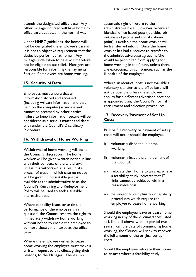attends the designated office base. Any other mileage incurred will have home to office base deducted in the normal way.

Under HMRC guidelines, the home will not be designated the employee's base as it is not an objective requirement that the duties be performed 'at home.' Any mileage undertaken to base will therefore not be eligible to tax relief. Managers are responsible for informing the Payments Section if employees are home working.

## <span id="page-7-0"></span>**15. Security of Data**

Employees must ensure that all information stored and accessed (including written information and that held on the computer) is secure and cannot be accessed by other parties. Failure to keep information secure will be considered as a serious matter and dealt with under the Council's Disciplinary Procedure.

## <span id="page-7-1"></span>**16. Withdrawal of Home Working**

Withdrawal of home working will be at the Council's discretion. The home worker will be given written notice in line with their contract of the withdrawal unless it is withdrawn as a result of a breach of trust, in which case no notice will be given. If no suitable post is available at the administrative base, the Council's Retraining and Redeployment Policy will be used to seek a suitable alternative post.

Where capability issues arise (ie the performance of the employee is in question) the Council reserve the right to immediately withdraw home working without notice to enable the employee to be more closely monitored at the office base.

Where the employee wishes to cease home working the employee must make a written request to this effect, giving their reasons, to the Manager. There is no

automatic right of return to the administrative base. However, where an identical office based post (job title, job outline and profile and spinal column point) is available the home worker will be transferred into it. Once the home worker has had a request to transfer to the administrative base agreed he/she would be prohibited from applying for home working in the future, unless there are exceptional circumstances, such as the ill health of the employee.

Where an identical post is not available a voluntary transfer to the office base will not be possible unless the employee applies for a different advertised post and is appointed using the Council's normal recruitment and selection procedures.

## <span id="page-7-2"></span>**17. Recovery/Payment of Set Up Costs**

Part or full recovery or payment of set up costs will occur should the employee:

- i) voluntarily discontinue home working.
- ii) voluntarily leave the employment of the Council.
- iii) relocate their home to an area where a feasibility study indicates that IT links cannot be achieved within a reasonable cost.
- iv) be subject to disciplinary or capability procedures which require the employee to cease home working.

Should the employee leave or cease home working in any of the circumstances listed at i, ii and iii above, within a period two years from the date of commencing home working, the Council will seek to recover the full amount of the original set up costs.

Should the employee relocate their home to an area where a feasibility study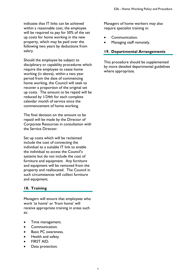indicates that IT links can be achieved within a reasonable cost, the employee will be required to pay for 50% of the set up costs for home working in the new property, which may be paid over the following two years by deductions from salary.

Should the employee be subject to disciplinary or capability procedures which require the employee to cease home working (iv above), within a two year period from the date of commencing home working, the Council will seek to recover a proportion of the original set up costs. The amount to be repaid will be reduced by 1/24th for each complete calendar month of service since the commencement of home working.

The final decision on the amount to be repaid will be made by the Director of Corporate Resources in consultation with the Service Director.

Set up costs which will be reclaimed include the cost of connecting the individual to a suitable IT link to enable the individual to access the Council's systems but do not include the cost of furniture and equipment. Any furniture and equipment will be removed from the property and reallocated. The Council in such circumstances will collect furniture and equipment.

## <span id="page-8-0"></span>**18. Training**

Managers will ensure that employees who work 'at home' or 'from home' will receive appropriate training in areas such as:

- Time management.
- Communication.
- Basic PC awareness.
- Health and safety.
- FIRST AID.
- Data protection.

Managers of home workers may also require specialist training in:

- Communication.
- Managing staff remotely.

## <span id="page-8-1"></span>**19. Departmental Arrangements**

This procedure should be supplemented by more detailed departmental guidelines where appropriate.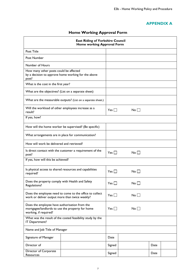## **APPENDIX A**

## **Home Working Approval Form**

<span id="page-9-0"></span>

| <b>East Riding of Yorkshire Council</b><br>Home working Approval Form                                                      |                                                              |            |  |                 |      |  |
|----------------------------------------------------------------------------------------------------------------------------|--------------------------------------------------------------|------------|--|-----------------|------|--|
| Post Title                                                                                                                 |                                                              |            |  |                 |      |  |
| Post Number                                                                                                                |                                                              |            |  |                 |      |  |
| Number of Hours                                                                                                            |                                                              |            |  |                 |      |  |
| How many other posts could be affected<br>by a decision to approve home working for the above<br>post?                     |                                                              |            |  |                 |      |  |
| What is the cost in the first year?                                                                                        |                                                              |            |  |                 |      |  |
| What are the objectives? (List on a separate sheet)                                                                        |                                                              |            |  |                 |      |  |
|                                                                                                                            | What are the measurable outputs? (List on a separate sheet.) |            |  |                 |      |  |
| Will the workload of other employees increase as a<br>result?                                                              |                                                              | Yes $\Box$ |  | $No \Box$       |      |  |
| If yes, how?                                                                                                               |                                                              |            |  |                 |      |  |
|                                                                                                                            | How will the home worker be supervised? (Be specific)        |            |  |                 |      |  |
|                                                                                                                            | What arrangements are in place for communication?            |            |  |                 |      |  |
| How will work be delivered and retrieved?                                                                                  |                                                              |            |  |                 |      |  |
| Is direct contact with the customer a requirement of the<br>post?                                                          |                                                              | Yes $\Box$ |  | No <sub>1</sub> |      |  |
| If yes, how will this be achieved?                                                                                         |                                                              |            |  |                 |      |  |
| Is physical access to shared resources and capabilities<br>required?                                                       |                                                              | Yes $\Box$ |  | $No \Box$       |      |  |
| Does the property comply with Health and Safety<br>Regulations!                                                            |                                                              | Yes        |  | No.             |      |  |
| Does the employee need to come to the office to collect<br>work or deliver output more than twice weekly?                  |                                                              | Yes $\Box$ |  | No              |      |  |
| Does the employee have authorisation from the<br>mortgagee/landlords to use the property for home<br>working, if required? |                                                              | $Yes$      |  | $No$ $\vert$    |      |  |
| What was the result of the costed feasibility study by the<br>IT Department?                                               |                                                              |            |  |                 |      |  |
| Name and Job Title of Manager                                                                                              |                                                              |            |  |                 |      |  |
| Signature of Manager                                                                                                       |                                                              | Date       |  |                 |      |  |
| Director of                                                                                                                |                                                              | Signed     |  |                 | Date |  |
| Director of Corporate<br>Resources                                                                                         |                                                              | Signed     |  |                 | Date |  |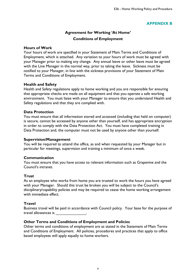## **APPENDIX B**

## **Agreement for Working 'At Home' Conditions of Employment**

## <span id="page-10-0"></span>**Hours of Work**

Your hours of work are specified in your Statement of Main Terms and Conditions of Employment, which is attached. Any variation to your hours of work must be agreed with your Manager prior to making any change. Any annual leave or other leave must be agreed with the Line Manager in the normal way, prior to taking the leave. Sickness must be notified to your Manager, in line with the sickness provisions of your Statement of Main Terms and Conditions of Employment.

## **Health and Safety**

Health and Safety regulations apply to home working and you are responsible for ensuring that appropriate checks are made on all equipment and that you operate a safe working environment. You must liaise with your Manager to ensure that you understand Health and Safety regulations and that they are complied with.

## **Data Protection**

You must ensure that all information stored and accessed (including that held on computer) is secure, cannot be accessed by anyone other than yourself, and has appropriate encryption in order to comply with the Data Protection Act. You must have completed training in Data Protection and, the computer must not be used by anyone other than yourself.

#### **Supervision/Management**

You will be required to attend the office, as and when requested by your Manager but in particular for meetings, supervision and training a minimum of once a week.

## **Communication**

You must ensure that you have access to relevant information such as Grapevine and the Council's intranet.

## **Trust**

As an employee who works from home you are trusted to work the hours you have agreed with your Manager. Should this trust be broken you will be subject to the Council's disciplinary/capability policies and may be required to cease the home working arrangement with immediate effect.

#### **Travel**

Business travel will be paid in accordance with Council policy. Your base for the purpose of travel allowances is  $\qquad \qquad$ 

## **Other Terms and Conditions of Employment and Policies**

Other terms and conditions of employment are as stated in the Statement of Main Terms and Conditions of Employment. All policies, procedures and practices that apply to office based employees will apply equally to home workers.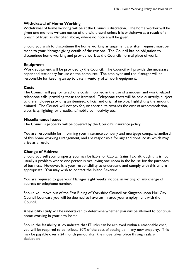## **Withdrawal of Home Working**

Withdrawal of home working will be at the Council's discretion. The home worker will be given one month's written notice of the withdrawal unless it is withdrawn as a result of a breach of trust, as identified above, where no notice will be given.

Should you wish to discontinue the home working arrangement a written request must be made to your Manager giving details of the reasons. The Council has no obligation to discontinue home working and provide work at the Councils normal place of work.

#### **Equipment**

Work equipment will be provided by the Council. The Council will provide the necessary paper and stationery for use on the computer. The employee and the Manager will be responsible for keeping an up to date inventory of all work equipment.

#### **Costs**

The Council will pay for telephone costs, incurred in the use of a modem and work related telephone calls, providing these are itemised. Telephone costs will be paid quarterly, subject to the employee providing an itemised, official and original invoice, highlighting the amount claimed. The Council will not pay for, or contribute towards the cost of accommodation, electricity, lighting, or broadband/mobile connectivity etc.

#### **Miscellaneous Issues**

The Council's property will be covered by the Council's insurance policy.

You are responsible for informing your insurance company and mortgage company/landlord of this home working arrangement, and are responsible for any additional costs which may arise as a result.

#### **Change of Address**

Should you sell your property you may be liable for Capital Gains Tax, although this is not usually a problem where one person is occupying one room in the house for the purposes of business. However, it is your responsibility to understand and comply with this where appropriate. You may wish to contact the Inland Revenue.

You are required to give your Manager eight weeks' notice, in writing, of any change of address or telephone number.

Should you move out of the East Riding of Yorkshire Council or Kingston upon Hull City Council boundary you will be deemed to have terminated your employment with the Council.

A feasibility study will be undertaken to determine whether you will be allowed to continue home working in your new home.

Should the feasibility study indicate that IT links can be achieved within a reasonable cost, you will be required to contribute 50% of the cost of setting up in any new property. This may be payable over a 24 month period after the move takes place through salary deduction.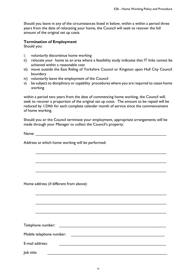Should you leave in any of the circumstances listed in below, within a within a period three years from the date of relocating your home, the Council will seek to recover the full amount of the original set up costs.

## **Termination of Employment**

Should you:

- i) voluntarily discontinue home working
- ii) relocate your home to an area where a feasibility study indicates that IT links cannot be achieved within a reasonable cost
- iii) move outside the East Riding of Yorkshire Council or Kingston upon Hull City Council boundary
- iv) voluntarily leave the employment of the Council
- v) be subject to disciplinary or capability procedures where you are required to cease home working

within a period two years from the date of commencing home working, the Council will, seek to recover a proportion of the original set up costs. The amount to be repaid will be reduced by 1/24th for each complete calendar month of service since the commencement of home working.

Should you or the Council terminate your employment, appropriate arrangements will be made through your Manager to collect the Council's property.

\_\_\_\_\_\_\_\_\_\_\_\_\_\_\_\_\_\_\_\_\_\_\_\_\_\_\_\_\_\_\_\_\_\_\_\_\_\_\_\_\_\_\_\_\_\_\_\_\_\_\_\_\_\_\_\_\_\_\_\_

\_\_\_\_\_\_\_\_\_\_\_\_\_\_\_\_\_\_\_\_\_\_\_\_\_\_\_\_\_\_\_\_\_\_\_\_\_\_\_\_\_\_\_\_\_\_\_\_\_\_\_\_\_\_\_\_\_\_\_\_

\_\_\_\_\_\_\_\_\_\_\_\_\_\_\_\_\_\_\_\_\_\_\_\_\_\_\_\_\_\_\_\_\_\_\_\_\_\_\_\_\_\_\_\_\_\_\_\_\_\_\_\_\_\_\_\_\_\_\_\_

 $\mathcal{L}_\text{max}$  , and the contribution of the contribution of the contribution of the contribution of the contribution of the contribution of the contribution of the contribution of the contribution of the contribution of t

\_\_\_\_\_\_\_\_\_\_\_\_\_\_\_\_\_\_\_\_\_\_\_\_\_\_\_\_\_\_\_\_\_\_\_\_\_\_\_\_\_\_\_\_\_\_\_\_\_\_\_\_\_\_\_\_\_\_\_\_

\_\_\_\_\_\_\_\_\_\_\_\_\_\_\_\_\_\_\_\_\_\_\_\_\_\_\_\_\_\_\_\_\_\_\_\_\_\_\_\_\_\_\_\_\_\_\_\_\_\_\_\_\_\_\_\_\_\_\_\_

Name: \_\_\_\_\_\_\_\_\_\_\_\_\_\_\_\_\_\_\_\_\_\_\_\_\_\_\_\_\_\_\_\_\_\_\_\_\_\_\_\_\_\_\_\_\_\_\_\_\_\_\_\_\_\_\_\_\_\_\_\_

Address at which home working will be performed:

Home address (if different from above):

| Telephone number:        |  |
|--------------------------|--|
| Mobile telephone number: |  |
| E-mail address:          |  |
| Job title:               |  |